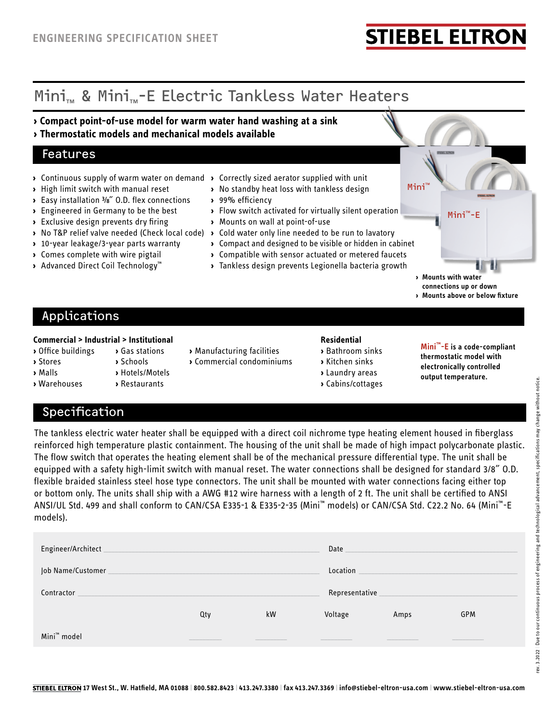# **STIEBEL ELTROI**

# Mini<sub>™</sub> & Mini<sub>™</sub>-E Electric Tankless Water Heaters

- **› Compact point-of-use model for warm water hand washing at a sink**
- **› Thermostatic models and mechanical models available**

### Features

- **›** Continuous supply of warm water on demand **›** Correctly sized aerator supplied with unit
- **›** High limit switch with manual reset
- **›** Easy installation ⅜˝ O.D. flex connections
- **›** Engineered in Germany to be the best
- **›** Exclusive design prevents dry firing
- 
- **›** 10-year leakage/3-year parts warranty
- **›** Comes complete with wire pigtail
- **›** Advanced Direct Coil Technology™
- 
- **›** No standby heat loss with tankless design
- **›** 99% efficiency
- **›** Flow switch activated for virtually silent operation
- **›** Mounts on wall at point-of-use
- **›** No T&P relief valve needed (Check local code) **›** Cold water only line needed to be run to lavatory
	- **›** Compact and designed to be visible or hidden in cabinet
	- **›** Compatible with sensor actuated or metered faucets
	- **›** Tankless design prevents Legionella bacteria growth
- **› Mounts with water**

Mini

**connections up or down › Mounts above or below fixture**

Mini™-E

## Applications

### **Commercial > Industrial > Institutional Residential**

- 
- 
- 
- **›** Malls **›** Hotels/Motels **›** Laundry areas
- **›** Warehouses **›** Restaurants **›** Cabins/cottages
- **›** Office buildings **›** Gas stations **›** Manufacturing facilities **›** Bathroom sinks
- **›** Stores **›** Schools **›** Commercial condominiums **›** Kitchen sinks

- 
- 
- 
- 

**Mini™-E is a code-compliant thermostatic model with electronically controlled output temperature.**

### Specification

The tankless electric water heater shall be equipped with a direct coil nichrome type heating element housed in fiberglass reinforced high temperature plastic containment. The housing of the unit shall be made of high impact polycarbonate plastic. The flow switch that operates the heating element shall be of the mechanical pressure differential type. The unit shall be equipped with a safety high-limit switch with manual reset. The water connections shall be designed for standard 3/8˝ O.D. flexible braided stainless steel hose type connectors. The unit shall be mounted with water connections facing either top or bottom only. The units shall ship with a AWG #12 wire harness with a length of 2 ft. The unit shall be certified to ANSI ANSI/UL Std. 499 and shall conform to CAN/CSA E335-1 & E335-2-35 (Mini™ models) or CAN/CSA Std. C22.2 No. 64 (Mini™-E models).

| Engineer/Architect_     | Date           |    |         |      |  |  |  |  |  |
|-------------------------|----------------|----|---------|------|--|--|--|--|--|
| Job Name/Customer       | Location       |    |         |      |  |  |  |  |  |
| Contractor              | Representative |    |         |      |  |  |  |  |  |
|                         |                | kW | GPM     |      |  |  |  |  |  |
|                         | Qty            |    | Voltage | Amps |  |  |  |  |  |
| Mini <sup>™</sup> model |                |    |         |      |  |  |  |  |  |

- 
- -
-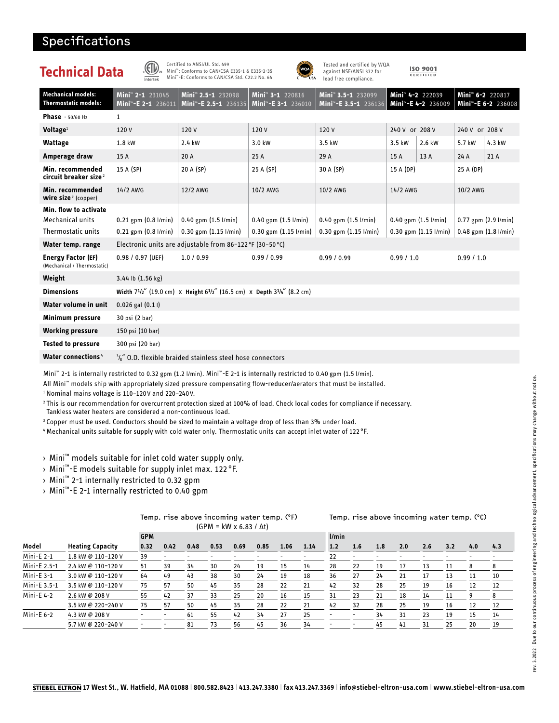### Specifications

| Technical Data                                             | Intertek                                                              | Certified to ANSI/UL Std. 499<br>Mini": Conforms to CAN/CSA E335-1 & E335-2-35<br>Mini"-E: Conforms to CAN/CSA Std. C22.2 No. 64 | USA <sup></sup>                                                 | Tested and certified by WQA<br>against NSF/ANSI 372 for<br>lead free compliance. |                                   | <b>ISO 9001</b><br>CERTIFIED     |                                                                 |        |  |  |  |  |
|------------------------------------------------------------|-----------------------------------------------------------------------|----------------------------------------------------------------------------------------------------------------------------------|-----------------------------------------------------------------|----------------------------------------------------------------------------------|-----------------------------------|----------------------------------|-----------------------------------------------------------------|--------|--|--|--|--|
| <b>Mechanical models:</b><br><b>Thermostatic models:</b>   | Mini <sup>™</sup> 2-1 231045<br>Mini <sup>*</sup> -E 2-1 236011       | Mini <sup>™</sup> 2.5-1 232098<br>Mini <sup>*</sup> -E 2.5-1 236135                                                              | Mini <sup>*</sup> 3-1 220816<br>Mini <sup>™</sup> -E 3-1 236010 | Mini <sup>™</sup> 3.5-1 232099<br>Mini"-E 3.5-1 236136                           | Mini <sup>™</sup> 4-2 222039      | Mini <sup>7</sup> -E 4-2 236009  | Mini <sup>™</sup> 6-2 220817<br>Mini <sup>*</sup> -E 6-2 236008 |        |  |  |  |  |
| <b>Phase</b> $-50/60$ Hz                                   | 1                                                                     |                                                                                                                                  |                                                                 |                                                                                  |                                   |                                  |                                                                 |        |  |  |  |  |
| Voltage $1$                                                | 120V                                                                  | 120V                                                                                                                             | 120V                                                            | 120V                                                                             | 240 V or 208 V                    |                                  | 240 V or 208 V                                                  |        |  |  |  |  |
| <b>Wattage</b>                                             | 1.8 kW                                                                | 2.4 kW                                                                                                                           | 3.0 kW                                                          | 3.5 kW                                                                           | 2.6 kW<br>3.5 kW                  |                                  | 5.7 kW                                                          | 4.3 kW |  |  |  |  |
| Amperage draw                                              | 15 A                                                                  | 20 A                                                                                                                             | 25 A                                                            | 29 A                                                                             | 15 A                              | 13 A                             | 24 A                                                            | 21 A   |  |  |  |  |
| Min. recommended<br>circuit breaker size <sup>2</sup>      | 15 A (SP)                                                             | 20 A (SP)                                                                                                                        | 25 A (SP)                                                       | 30 A (SP)                                                                        | 15 A (DP)                         |                                  | 25 A (DP)                                                       |        |  |  |  |  |
| Min. recommended<br><b>wire size</b> <sup>3</sup> (copper) | 14/2 AWG                                                              | 12/2 AWG                                                                                                                         | 10/2 AWG                                                        | 10/2 AWG                                                                         | 14/2 AWG                          |                                  | 10/2 AWG                                                        |        |  |  |  |  |
| Min. flow to activate                                      |                                                                       |                                                                                                                                  |                                                                 |                                                                                  |                                   |                                  |                                                                 |        |  |  |  |  |
| Mechanical units                                           | $0.21$ gpm $(0.8 \text{ I/min})$                                      | $0.40$ gpm $(1.5 \frac{1}{min})$                                                                                                 | $0.40$ gpm $(1.5 \text{ I/min})$                                | $0.40$ gpm $(1.5 \text{ I/min})$                                                 |                                   | $0.40$ gpm $(1.5 \text{ I/min})$ | $0.77$ gpm $(2.9 \text{ I/min})$                                |        |  |  |  |  |
| Thermostatic units                                         | $0.21$ gpm $(0.8 \text{ I/min})$                                      | $0.30$ gpm $(1.15 \frac{1}{min})$                                                                                                | $0.30$ gpm $(1.15 \frac{1}{min})$                               |                                                                                  | $0.30$ gpm $(1.15 \frac{1}{min})$ | $0.48$ gpm $(1.8 \text{ I/min})$ |                                                                 |        |  |  |  |  |
| Water temp. range                                          |                                                                       | Electronic units are adjustable from 86-122 °F (30-50 °C)                                                                        |                                                                 |                                                                                  |                                   |                                  |                                                                 |        |  |  |  |  |
| <b>Energy Factor (EF)</b><br>(Mechanical / Thermostatic)   | $0.98 / 0.97$ (UEF)                                                   | 1.0 / 0.99                                                                                                                       | 0.99 / 0.99                                                     | 0.99/0.99                                                                        | 0.99/1.0                          |                                  | 0.99/1.0                                                        |        |  |  |  |  |
| Weight                                                     | 3.44 lb (1.56 kg)                                                     |                                                                                                                                  |                                                                 |                                                                                  |                                   |                                  |                                                                 |        |  |  |  |  |
| <b>Dimensions</b>                                          | Width 71/2" (19.0 cm) x Height 61/2" (16.5 cm) x Depth 31/4" (8.2 cm) |                                                                                                                                  |                                                                 |                                                                                  |                                   |                                  |                                                                 |        |  |  |  |  |
| Water volume in unit                                       | $0.026$ gal $(0.1)$                                                   |                                                                                                                                  |                                                                 |                                                                                  |                                   |                                  |                                                                 |        |  |  |  |  |
| Minimum pressure                                           | 30 psi (2 bar)                                                        |                                                                                                                                  |                                                                 |                                                                                  |                                   |                                  |                                                                 |        |  |  |  |  |
| <b>Working pressure</b>                                    | 150 psi (10 bar)                                                      |                                                                                                                                  |                                                                 |                                                                                  |                                   |                                  |                                                                 |        |  |  |  |  |
| <b>Tested to pressure</b>                                  | 300 psi (20 bar)                                                      |                                                                                                                                  |                                                                 |                                                                                  |                                   |                                  |                                                                 |        |  |  |  |  |
| <b>Water connections</b> 4                                 | $\frac{3}{6}$ 0.D. flexible braided stainless steel hose connectors   |                                                                                                                                  |                                                                 |                                                                                  |                                   |                                  |                                                                 |        |  |  |  |  |

Mini™ 2-1 is internally restricted to 0.32 gpm (1.2 l/min). Mini™-E 2-1 is internally restricted to 0.40 gpm (1.5 l/min).

All Mini™ models ship with appropriately sized pressure compensating flow-reducer/aerators that must be installed.

<sup>1</sup> Nominal mains voltage is 110-120V and 220-240V.

2 This is our recommendation for overcurrent protection sized at 100% of load. Check local codes for compliance if necessary. Tankless water heaters are considered a non-continuous load.

3 Copper must be used. Conductors should be sized to maintain a voltage drop of less than 3% under load.

4 Mechanical units suitable for supply with cold water only. Thermostatic units can accept inlet water of 122 °F.

› Mini™ models suitable for inlet cold water supply only.

> Mini™-E models suitable for supply inlet max. 122 °F.<br>> Mini™ 2-1 internally restricted to 0.32 gpm

› Mini™ 2-1 internally restricted to 0.32 gpm

› Mini™-E 2-1 internally restricted to 0.40 gpm

|  | Temp. rise above incoming water temp. (°F) |  |                                     |  |
|--|--------------------------------------------|--|-------------------------------------|--|
|  |                                            |  | $(GPM = kW \times 6.83 / \Delta t)$ |  |

### Temp. rise above incoming water temp. (°C)

| .            |                         |            |      |      |      |      |      |      |      |       |                          |     |     |     |     |     |     |
|--------------|-------------------------|------------|------|------|------|------|------|------|------|-------|--------------------------|-----|-----|-----|-----|-----|-----|
|              |                         | <b>GPM</b> |      |      |      |      |      |      |      | l/min |                          |     |     |     |     |     |     |
| Model        | <b>Heating Capacity</b> | 0.32       | 0.42 | 0.48 | 0.53 | 0.69 | 0.85 | 1.06 | 1.14 | 1.2   | 1.6                      | 1.8 | 2.0 | 2.6 | 3.2 | 4.0 | 4.3 |
| Mini-E $2-1$ | 1.8 kW @ 110-120 V      | 39         |      |      |      |      |      |      |      | 22    | $\overline{\phantom{0}}$ |     |     |     |     |     |     |
| Mini-E 2.5-1 | 2.4 kW @ 110-120 V      | 51         | 39   | 34   | 30   | 24   | 19   | 15   | 14   | 28    | 22                       | 19  | 17  | 13  | 11  | 8   | 8   |
| $Mini-E_3-1$ | 3.0 kW @ 110-120 V      | 64         | 49   | 43   | 38   | 30   | 24   | 19   | 18   | 36    | 27                       | 24  | 21  | 17  | 13  | 11  | 10  |
| Mini-E 3.5-1 | 3.5 kW @ 110-120 V      | 75         | 57   | 50   | 45   | 35   | 28   | 22   | 21   | 42    | 32                       | 28  | 25  | 19  | 16  | 12  | 12  |
| Mini-E 4-2   | 2.6 kW @ 208 V          | 55         | 42   | 37   | 33   | 25   | 20   | 16   | 15   | 31    | 23                       | 21  | 18  | 14  | 11  | 9   | 8   |
|              | 3.5 kW @ 220-240 V      | 75         | 57   | 50   | 45   | 35   | 28   | 22   | 21   | 42    | 32                       | 28  | 25  | 19  | 16  | 12  | 12  |
| Mini-E $6-2$ | 4.3 kW @ 208 V          |            |      | 61   | 55   | 42   | 34   | 27   | 25   |       | $\overline{\phantom{a}}$ | 34  | 31  | 23  | 19  | 15  | 14  |
|              | 5.7 kW @ 220-240 V      | -          | ٠    | 81   | 73   | 56   | 45   | 36   | 34   | -     | $\overline{\phantom{a}}$ | 45  | 41  | 31  | 25  | 20  | 19  |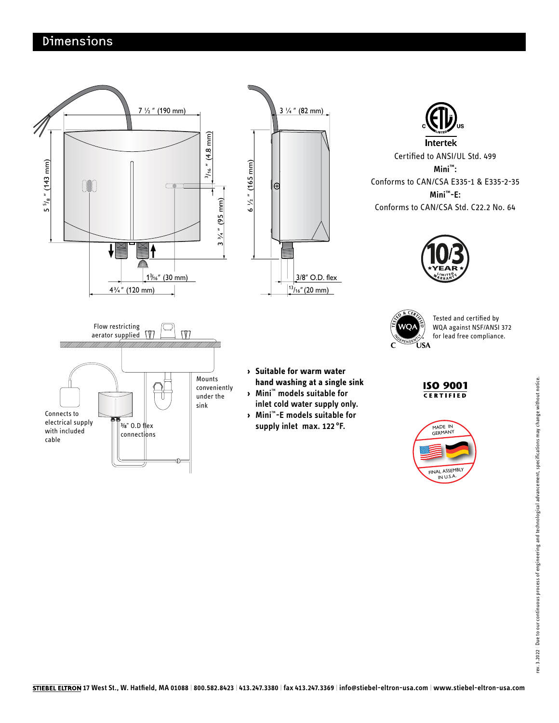### Dimensions